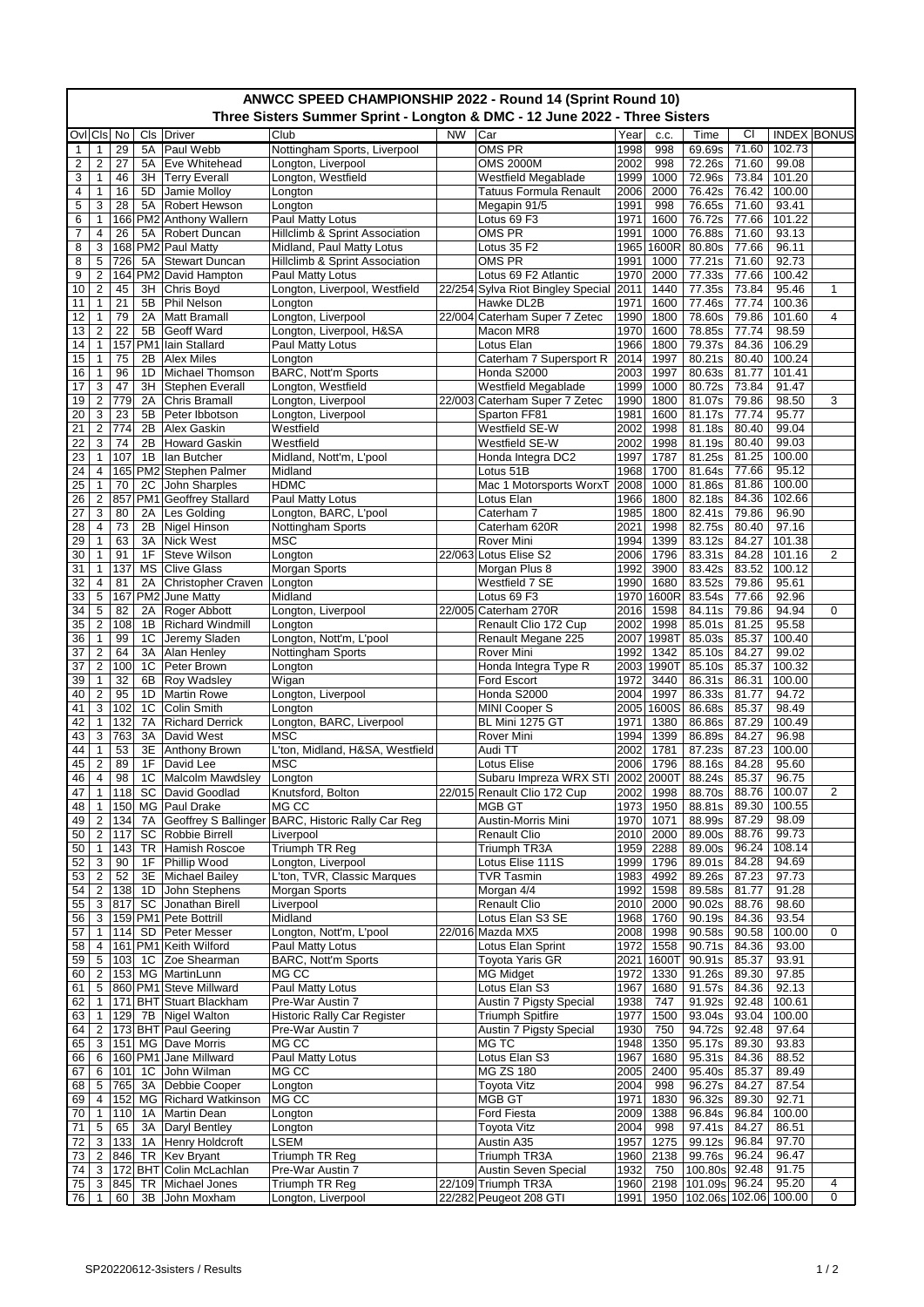| ANWCC SPEED CHAMPIONSHIP 2022 - Round 14 (Sprint Round 10)<br>Three Sisters Summer Sprint - Longton & DMC - 12 June 2022 - Three Sisters |                         |                  |          |                           |                                              |           |                                                      |      |       |                            |                |                    |                    |
|------------------------------------------------------------------------------------------------------------------------------------------|-------------------------|------------------|----------|---------------------------|----------------------------------------------|-----------|------------------------------------------------------|------|-------|----------------------------|----------------|--------------------|--------------------|
|                                                                                                                                          |                         |                  |          |                           |                                              |           |                                                      |      |       |                            |                |                    |                    |
|                                                                                                                                          |                         | Ovi Cis No       | Cls      | Driver                    | Club                                         | <b>NW</b> | Car                                                  | Year | c.c.  | Time                       | <u>CI</u>      |                    | <b>INDEX BONUS</b> |
| $\mathbf{1}$                                                                                                                             | $\mathbf{1}$            | 29               | 5A       | Paul Webb                 | Nottingham Sports, Liverpool                 |           | <b>OMS PR</b>                                        | 1998 | 998   | 69.69s                     | 71.60          | 102.73             |                    |
| 2                                                                                                                                        | $\overline{2}$          | 27               | 5A       | Eve Whitehead             | Longton, Liverpool                           |           | <b>OMS 2000M</b>                                     | 2002 | 998   | 72.26s                     | 71.60          | 99.08              |                    |
| 3                                                                                                                                        | 1                       | 46               | 3H       | <b>Terry Everall</b>      | Longton, Westfield                           |           | <b>Westfield Megablade</b>                           | 1999 | 1000  | 72.96s                     | 73.84          | 101.20             |                    |
| 4                                                                                                                                        | 1                       | 16               | 5D       | Jamie Mollov              | Longton                                      |           | <b>Tatuus Formula Renault</b>                        | 2006 | 2000  | 76.42s                     | 76.42          | 100.00             |                    |
| 5                                                                                                                                        | 3                       | 28               | 5A       | Robert Hewson             | Longton                                      |           | Megapin 91/5                                         | 1991 | 998   | 76.65s                     | 71.60          | 93.41              |                    |
| 6                                                                                                                                        | 1                       | 166              |          | PM2 Anthony Wallern       | Paul Matty Lotus                             |           | Lotus 69 F3                                          | 1971 | 1600  | 76.72s                     | 77.66          | 101.22             |                    |
| $\overline{7}$                                                                                                                           | 4                       | 26               | 5A       | Robert Duncan             | Hillclimb & Sprint Association               |           | OMS PR                                               | 1991 | 1000  | 76.88s                     | 71.60          | 93.13              |                    |
| 8                                                                                                                                        | 3                       | 168              |          | PM2 Paul Matty            | Midland, Paul Matty Lotus                    |           | Lotus 35 F2                                          | 1965 | 1600R | 80.80s                     | 77.66          | 96.11              |                    |
| 8                                                                                                                                        | 5                       | 726              | 5A       | <b>Stewart Duncan</b>     | Hillclimb & Sprint Association               |           | OMS PR                                               | 1991 | 1000  | 77.21s                     | 71.60          | 92.73              |                    |
| 9                                                                                                                                        | 2                       |                  |          | 164 PM2 David Hampton     | Paul Matty Lotus                             |           | Lotus 69 F2 Atlantic                                 | 1970 | 2000  | 77.33s                     | 77.66          | 100.42             |                    |
| 10                                                                                                                                       | $\overline{\mathbf{c}}$ | 45               | 3H       | Chris Boyd                | Longton, Liverpool, Westfield                |           | 22/254 Sylva Riot Bingley Special                    | 2011 | 1440  | 77.35s                     | 73.84          | 95.46              | 1                  |
| 11                                                                                                                                       | 1                       | 21               | 5B       | Phil Nelson               | Longton                                      |           | Hawke DL2B                                           | 1971 | 1600  | 77.46s                     | 77.74          | 100.36             |                    |
| 12                                                                                                                                       | 1                       | 79               | 2A       | <b>Matt Bramall</b>       | Longton, Liverpool                           |           | 22/004 Caterham Super 7 Zetec                        | 1990 | 1800  | 78.60s                     | 79.86          | 101.60             | $\overline{4}$     |
| 13                                                                                                                                       | $\overline{2}$          | 22               | 5B       | <b>Geoff Ward</b>         | Longton, Liverpool, H&SA<br>Paul Matty Lotus |           | Macon MR8                                            | 1970 | 1600  | 78.85s                     | 77.74<br>84.36 | 98.59<br>106.29    |                    |
| 14                                                                                                                                       | 1                       |                  |          | 157 PM1 lain Stallard     |                                              |           | Lotus Elan                                           | 1966 | 1800  | 79.37s                     |                | 100.24             |                    |
| 15                                                                                                                                       | 1                       | 75               | 2B       | <b>Alex Miles</b>         | Longton                                      |           | Caterham 7 Supersport R                              | 2014 | 1997  | 80.21s                     | 80.40          |                    |                    |
| 16                                                                                                                                       | $\mathbf{1}$            | 96               | 1D       | Michael Thomson           | BARC, Nott'm Sports                          |           | Honda S2000                                          | 2003 | 1997  | 80.63s                     | 81.77          | 101.41<br>91.47    |                    |
| 17                                                                                                                                       | 3                       | 47               | 3H       | Stephen Everall           | Longton, Westfield                           |           | Westfield Megablade<br>22/003 Caterham Super 7 Zetec | 1999 | 1000  | 80.72s                     | 73.84          | 98.50              | 3                  |
| 19                                                                                                                                       | $\overline{2}$          | 779              | 2A       | <b>Chris Bramall</b>      | Longton, Liverpool                           |           |                                                      | 1990 | 1800  | 81.07s                     | 79.86          | 95.77              |                    |
| 20                                                                                                                                       | 3                       | 23               | 5B       | Peter Ibbotson            | Longton, Liverpool                           |           | Sparton FF81                                         | 1981 | 1600  | 81.17s                     | 77.74          |                    |                    |
| 21                                                                                                                                       | $\overline{\mathbf{c}}$ | $\overline{774}$ | 2B       | <b>Alex Gaskin</b>        | Westfield                                    |           | Westfield SE-W                                       | 2002 | 1998  | 81.18s                     | 80.40          | 99.04              |                    |
| 22                                                                                                                                       | 3                       | 74               | 2B       | <b>Howard Gaskin</b>      | Westfield                                    |           | Westfield SE-W                                       | 2002 | 1998  | 81.19s                     | 80.40          | 99.03              |                    |
| 23                                                                                                                                       | 1                       | 107              | 1B       | lan Butcher               | Midland, Nott'm, L'pool                      |           | Honda Integra DC2                                    | 1997 | 1787  | 81.25s                     | 81.25          | 100.00             |                    |
| 24                                                                                                                                       | 4                       |                  |          | 165 PM2 Stephen Palmer    | Midland                                      |           | Lotus 51B                                            | 1968 | 1700  | $81.\overline{64s}$        | 77.66          | 95.12              |                    |
| 25                                                                                                                                       | $\mathbf{1}$            | 70               | 2C       | John Sharples             | <b>HDMC</b>                                  |           | Mac 1 Motorsports WorxT                              | 2008 | 1000  | 81.86s                     | 81.86          | 100.00             |                    |
| 26                                                                                                                                       | 2                       |                  |          | 857 PM1 Geoffrey Stallard | Paul Matty Lotus                             |           | Lotus Elan                                           | 1966 | 1800  | 82.18s                     | 84.36          | 102.66             |                    |
| 27                                                                                                                                       | 3                       | 80               | 2A       | Les Golding               | Longton, BARC, L'pool                        |           | Caterham 7                                           | 1985 | 1800  | 82.41s                     | 79.86          | 96.90              |                    |
| 28                                                                                                                                       | 4                       | 73               | 2B       | Nigel Hinson              | Nottingham Sports                            |           | Caterham 620R                                        | 2021 | 1998  | 82.75s                     | 80.40          | 97.16              |                    |
| 29                                                                                                                                       | 1                       | 63               | 3A       | <b>Nick West</b>          | <b>MSC</b>                                   |           | Rover Mini                                           | 1994 | 1399  | 83.12s                     | 84.27          | 101.38             |                    |
| 30                                                                                                                                       | 1                       | 91               | 1F       | <b>Steve Wilson</b>       | Longton                                      |           | 22/063 Lotus Elise S2                                | 2006 | 1796  | 83.31s                     | 84.28          | 101.16             | 2                  |
| 31                                                                                                                                       | 1                       | 137              | МS       | <b>Clive Glass</b>        | <b>Morgan Sports</b>                         |           | Morgan Plus 8                                        | 1992 | 3900  | 83.42s                     | 83.52          | 100.12             |                    |
| 32                                                                                                                                       | 4                       | 81               | 2A       | Christopher Craven        | Longton                                      |           | Westfield 7 SE                                       | 1990 | 1680  | 83.52s                     | 79.86          | 95.61              |                    |
| 33                                                                                                                                       | 5                       |                  | 167 PM2  | June Matty                | Midland                                      |           | Lotus 69 F3                                          | 1970 | 1600R | 83.54s                     | 77.66          | 92.96              |                    |
| 34                                                                                                                                       | 5                       | 82               | 2A       | Roger Abbott              | Longton, Liverpool                           |           | 22/005 Caterham 270R                                 | 2016 | 1598  | 84.11s                     | 79.86          | 94.94              | $\mathbf 0$        |
| 35                                                                                                                                       | $\overline{2}$          | 108              | 1B       | Richard Windmill          | Longton                                      |           | Renault Clio 172 Cup                                 | 2002 | 1998  | 85.01s                     | 81.25          | 95.58              |                    |
| 36                                                                                                                                       | 1                       | 99               | 1C       | Jeremy Sladen             | Longton, Nott'm, L'pool                      |           | Renault Megane 225                                   | 2007 | 1998T | 85.03s                     | 85.37          | 100.40             |                    |
| 37                                                                                                                                       | $\overline{\mathbf{c}}$ | 64               | 3A       | <b>Alan Henley</b>        | Nottingham Sports                            |           | Rover Mini                                           | 1992 | 1342  | 85.10s                     | 84.27          | 99.02              |                    |
| 37                                                                                                                                       | $\overline{\mathbf{c}}$ | 100              | 1C       | Peter Brown               | Longton                                      |           | Honda Integra Type R                                 | 2003 | 1990T | 85.10s                     | 85.37          | 100.32             |                    |
| 39                                                                                                                                       | 1                       | 32               | 6B       | <b>Roy Wadsley</b>        | Wigan                                        |           | Ford Escort                                          | 1972 | 3440  | 86.31s                     | 86.31          | 100.00             |                    |
| 40                                                                                                                                       | 2                       | 95               | 1D       | Martin Rowe               | Longton, Liverpool                           |           | Honda S2000                                          | 2004 | 1997  | 86.33s                     | 81.77          | 94.72              |                    |
| 41                                                                                                                                       | 3                       | 102              | 1C       | Colin Smith               | Longton                                      |           | <b>MINI Cooper S</b>                                 | 2005 | 1600S | 86.68s                     | 85.37          | 98.49              |                    |
| 42                                                                                                                                       | $\mathbf{1}$            | 132              | 7A       | <b>Richard Derrick</b>    | Longton, BARC, Liverpool                     |           | BL Mini 1275 GT                                      | 1971 | 1380  | 86.86s                     | 87.29          | 100.49             |                    |
| 43                                                                                                                                       | 3                       | 763              | 3A       | David West                | <b>MSC</b>                                   |           | Rover Mini                                           | 1994 | 1399  | 86.89s                     | 84.27          | 96.98              |                    |
| 44                                                                                                                                       | $\mathbf{1}$            | 53               | 3E       | <b>Anthony Brown</b>      | L'ton, Midland, H&SA, Westfield              |           | Audi TT                                              | 2002 | 1781  | 87.23s                     | 87.23          | 100.00             |                    |
| 45                                                                                                                                       | $\overline{\mathbf{c}}$ | 89               | 1F       | David Lee                 | <b>MSC</b>                                   |           | Lotus Elise                                          | 2006 | 1796  | 88.16s                     | 84.28          | 95.60              |                    |
| 46                                                                                                                                       | 4                       | 98               |          | 1C Malcolm Mawdsley       | Longton                                      |           | Subaru Impreza WRX STI 2002 2000T                    |      |       | 88.24s                     | 85.37          | 96.75              |                    |
| 47                                                                                                                                       | $\mathbf{1}$            |                  |          | 118 SC David Goodlad      | Knutsford, Bolton                            |           | 22/015 Renault Clio 172 Cup                          | 2002 | 1998  | 88.70s                     |                | 88.76   100.07     | 2                  |
| 48                                                                                                                                       | $\mathbf{1}$            |                  |          | 150 MG Paul Drake         | MG CC                                        |           | MGB GT                                               | 1973 | 1950  | 88.81s                     | 89.30          | 100.55             |                    |
| 49                                                                                                                                       | $\overline{2}$          | 134              | 7A       | Geoffrey S Ballinger      | BARC, Historic Rally Car Reg                 |           | Austin-Morris Mini                                   | 1970 | 1071  | 88.99s                     | 87.29          | 98.09              |                    |
| 50                                                                                                                                       | $\overline{2}$          | 117              | SC       | Robbie Birrell            | Liverpool                                    |           | <b>Renault Clio</b>                                  | 2010 | 2000  | 89.00s                     | 88.76          | 99.73              |                    |
| 50                                                                                                                                       | $\mathbf{1}$            | 143              | TR       | Hamish Roscoe             | Triumph TR Reg                               |           | Triumph TR3A                                         | 1959 | 2288  | 89.00s                     | 96.24          | 108.14             |                    |
| 52                                                                                                                                       | 3                       | 90               | 1F       | Phillip Wood              | Longton, Liverpool                           |           | Lotus Elise 111S                                     | 1999 | 1796  | 89.01s                     | 84.28          | 94.69              |                    |
| 53                                                                                                                                       | $\overline{2}$          | 52               | 3E       | Michael Bailey            | L'ton, TVR, Classic Marques                  |           | <b>TVR Tasmin</b>                                    | 1983 | 4992  | 89.26s                     | 87.23          | 97.73              |                    |
| 54                                                                                                                                       | $\overline{2}$          | 138              | 1D       | John Stephens             | Morgan Sports                                |           | Morgan 4/4                                           | 1992 | 1598  | 89.58s                     | 81.77          | $91.\overline{28}$ |                    |
| 55                                                                                                                                       | 3                       | 817              | SC       | Jonathan Birell           | Liverpool                                    |           | <b>Renault Clio</b>                                  | 2010 | 2000  | 90.02s                     | 88.76          | 98.60              |                    |
| 56                                                                                                                                       | 3                       |                  |          | 159 PM1 Pete Bottrill     | Midland                                      |           | Lotus Elan S3 SE                                     | 1968 | 1760  | 90.19s                     | 84.36          | 93.54              |                    |
| 57                                                                                                                                       | $\mathbf{1}$            |                  | $114$ SD | Peter Messer              | Longton, Nott'm, L'pool                      |           | 22/016 Mazda MX5                                     | 2008 | 1998  | 90.58s                     | 90.58          | 100.00             | 0                  |
| 58                                                                                                                                       | 4                       |                  |          | 161 PM1 Keith Wilford     | Paul Matty Lotus                             |           | Lotus Elan Sprint                                    | 1972 | 1558  | 90.71s                     | 84.36          | 93.00              |                    |
| 59                                                                                                                                       | 5                       | 103              | 1C       | Zoe Shearman              | BARC, Nott'm Sports                          |           | Toyota Yaris GR                                      | 2021 | 1600T | 90.91s                     | 85.37          | 93.91              |                    |
| 60                                                                                                                                       | 2                       |                  |          | 153 MG MartinLunn         | MG CC                                        |           | <b>MG Midget</b>                                     | 1972 | 1330  | 91.26s                     | 89.30          | 97.85              |                    |
| 61                                                                                                                                       | 5                       |                  |          | 860 PM1 Steve Millward    | Paul Matty Lotus                             |           | Lotus Elan S3                                        | 1967 | 1680  | 91.57s                     | 84.36          | 92.13              |                    |
| 62                                                                                                                                       | 1                       |                  |          | 171 BHT Stuart Blackham   | Pre-War Austin 7                             |           | Austin 7 Pigsty Special                              | 1938 | 747   | 91.92s                     | 92.48          | 100.61             |                    |
| 63                                                                                                                                       | $\mathbf{1}$            | 129              | 7B       | Nigel Walton              | <b>Historic Rally Car Register</b>           |           | <b>Triumph Spitfire</b>                              | 1977 | 1500  | 93.04s                     | 93.04          | 100.00             |                    |
| 64                                                                                                                                       | $\overline{2}$          |                  |          | 173 BHT Paul Geering      | Pre-War Austin 7                             |           | <b>Austin 7 Pigsty Special</b>                       | 1930 | 750   | 94.72s                     | 92.48          | 97.64              |                    |
| 65                                                                                                                                       | 3                       |                  |          | 151 MG Dave Morris        | MG CC                                        |           | MG TC                                                | 1948 | 1350  | 95.17s                     | 89.30          | 93.83              |                    |
| 66                                                                                                                                       | 6                       |                  |          | 160 PM1 Jane Millward     | Paul Matty Lotus                             |           | Lotus Elan S3                                        | 1967 | 1680  | 95.31s                     | 84.36          | 88.52              |                    |
| 67                                                                                                                                       | 6                       | 101              | 1C       | John Wilman               | MG CC                                        |           | <b>MG ZS 180</b>                                     | 2005 | 2400  | 95.40s                     | 85.37          | 89.49              |                    |
| 68                                                                                                                                       | 5                       | 765              | 3A       | Debbie Cooper             | Longton                                      |           | <b>Toyota Vitz</b>                                   | 2004 | 998   | 96.27s                     | 84.27          | 87.54              |                    |
| 69                                                                                                                                       | 4                       | 152              | MG       | <b>Richard Watkinson</b>  | MG CC                                        |           | <b>MGB GT</b>                                        | 1971 | 1830  | 96.32s                     | 89.30          | 92.71              |                    |
| 70                                                                                                                                       | 1                       | 110              | 1A       | Martin Dean               | Longton                                      |           | <b>Ford Fiesta</b>                                   | 2009 | 1388  | 96.84s                     | 96.84          | 100.00             |                    |
| 71                                                                                                                                       | 5                       | 65               | 3A       | Daryl Bentley             | Longton                                      |           | <b>Toyota Vitz</b>                                   | 2004 | 998   | 97.41s                     | 84.27          | 86.51              |                    |
| 72                                                                                                                                       | 3                       | 133              | 1A       | Henry Holdcroft           | <b>LSEM</b>                                  |           | Austin A35                                           | 1957 | 1275  | 99.12s                     | 96.84          | 97.70              |                    |
| 73                                                                                                                                       | $\overline{2}$          | 846              | TR       | <b>Kev Bryant</b>         | Triumph TR Reg                               |           | Triumph TR3A                                         | 1960 | 2138  | 99.76s                     | 96.24          | 96.47              |                    |
| 74                                                                                                                                       | 3                       |                  |          | 172 BHT Colin McLachlan   | Pre-War Austin 7                             |           | Austin Seven Special                                 | 1932 | 750   | 100.80s                    | 92.48          | 91.75              |                    |
| ${\bf 75}$                                                                                                                               | 3                       | 845              | TR       | Michael Jones             | Triumph TR Reg                               |           | 22/109 Triumph TR3A                                  | 1960 | 2198  | 101.09s                    | 96.24          | 95.20              | 4                  |
| 76                                                                                                                                       | $\overline{1}$          | 60               |          | 3B John Moxham            | Longton, Liverpool                           |           | 22/282 Peugeot 208 GTI                               | 1991 |       | 1950 102.06s 102.06 100.00 |                |                    | 0                  |